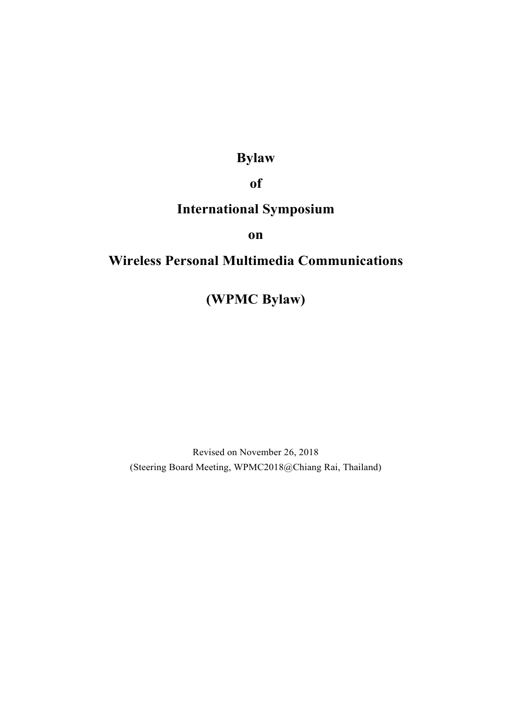# **Bylaw**

## **of**

# **International Symposium**

**on** 

## **Wireless Personal Multimedia Communications**

**(WPMC Bylaw)** 

Revised on November 26, 2018 (Steering Board Meeting, WPMC2018@Chiang Rai, Thailand)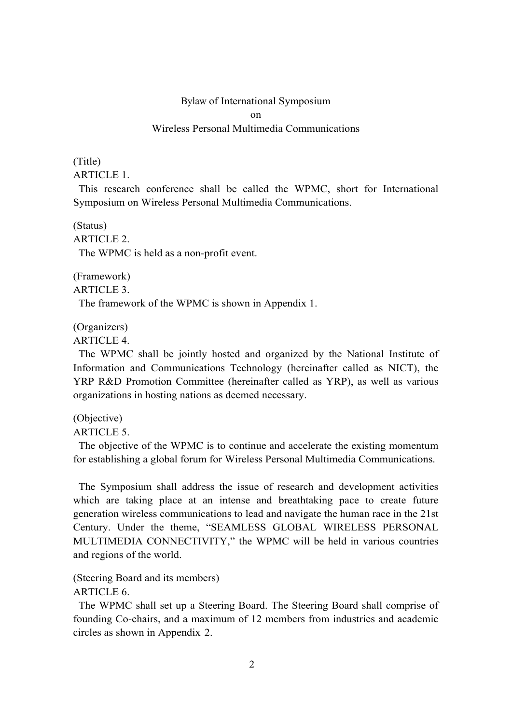### Bylaw of International Symposium  $\alpha$ n Wireless Personal Multimedia Communications

#### (Title) ARTICLE 1.

This research conference shall be called the WPMC, short for International Symposium on Wireless Personal Multimedia Communications.

(Status) ARTICLE 2. The WPMC is held as a non-profit event.

(Framework) ARTICLE 3. The framework of the WPMC is shown in Appendix 1.

(Organizers)

ARTICLE 4.

The WPMC shall be jointly hosted and organized by the National Institute of Information and Communications Technology (hereinafter called as NICT), the YRP R&D Promotion Committee (hereinafter called as YRP), as well as various organizations in hosting nations as deemed necessary.

(Objective)

ARTICLE 5.

The objective of the WPMC is to continue and accelerate the existing momentum for establishing a global forum for Wireless Personal Multimedia Communications.

The Symposium shall address the issue of research and development activities which are taking place at an intense and breathtaking pace to create future generation wireless communications to lead and navigate the human race in the 21st Century. Under the theme, "SEAMLESS GLOBAL WIRELESS PERSONAL MULTIMEDIA CONNECTIVITY," the WPMC will be held in various countries and regions of the world.

(Steering Board and its members) ARTICLE 6.

The WPMC shall set up a Steering Board. The Steering Board shall comprise of founding Co-chairs, and a maximum of 12 members from industries and academic circles as shown in Appendix 2.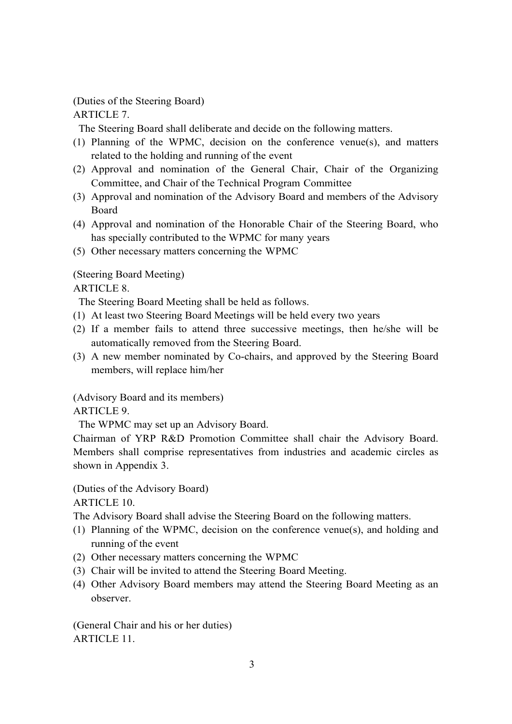(Duties of the Steering Board) ARTICLE 7.

The Steering Board shall deliberate and decide on the following matters.

- (1) Planning of the WPMC, decision on the conference venue(s), and matters related to the holding and running of the event
- (2) Approval and nomination of the General Chair, Chair of the Organizing Committee, and Chair of the Technical Program Committee
- (3) Approval and nomination of the Advisory Board and members of the Advisory Board
- (4) Approval and nomination of the Honorable Chair of the Steering Board, who has specially contributed to the WPMC for many years
- (5) Other necessary matters concerning the WPMC

### (Steering Board Meeting)

### ARTICLE 8.

The Steering Board Meeting shall be held as follows.

- (1) At least two Steering Board Meetings will be held every two years
- (2) If a member fails to attend three successive meetings, then he/she will be automatically removed from the Steering Board.
- (3) A new member nominated by Co-chairs, and approved by the Steering Board members, will replace him/her

(Advisory Board and its members)

#### ARTICLE 9.

The WPMC may set up an Advisory Board.

Chairman of YRP R&D Promotion Committee shall chair the Advisory Board. Members shall comprise representatives from industries and academic circles as shown in Appendix 3.

(Duties of the Advisory Board)

ARTICLE 10.

The Advisory Board shall advise the Steering Board on the following matters.

- (1) Planning of the WPMC, decision on the conference venue(s), and holding and running of the event
- (2) Other necessary matters concerning the WPMC
- (3) Chair will be invited to attend the Steering Board Meeting.
- (4) Other Advisory Board members may attend the Steering Board Meeting as an observer.

(General Chair and his or her duties) ARTICLE 11.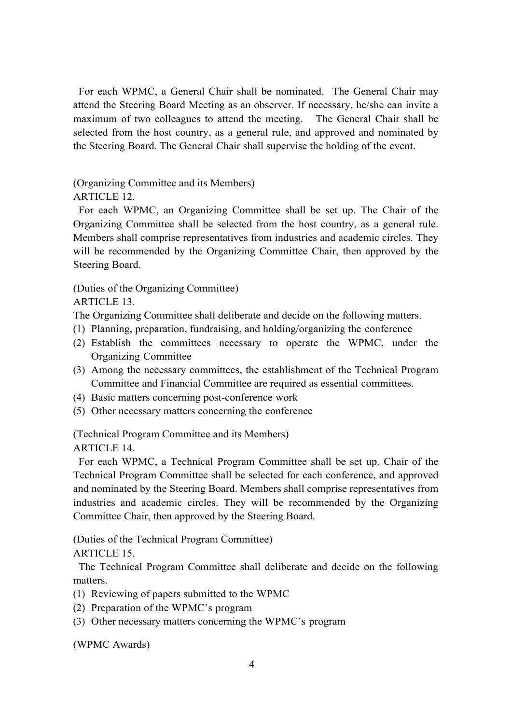For each WPMC, a General Chair shall be nominated. The General Chair may attend the Steering Board Meeting as an observer. If necessary, he/she can invite a maximum of two colleagues to attend the meeting. The General Chair shall be selected from the host country, as a general rule, and approved and nominated by the Steering Board. The General Chair shall supervise the holding of the event.

(Organizing Committee and its Members)

ARTICLE 12.

For each WPMC, an Organizing Committee shall be set up. The Chair of the Organizing Committee shall be selected from the host country, as a general rule. Members shall comprise representatives from industries and academic circles. They will be recommended by the Organizing Committee Chair, then approved by the Steering Board.

(Duties of the Organizing Committee)

ARTICLE 13.

The Organizing Committee shall deliberate and decide on the following matters.

- (1) Planning, preparation, fundraising, and holding/organizing the conference
- (2) Establish the committees necessary to operate the WPMC, under the Organizing Committee
- (3) Among the necessary committees, the establishment of the Technical Program Committee and Financial Committee are required as essential committees.
- (4) Basic matters concerning post-conference work
- (5) Other necessary matters concerning the conference

(Technical Program Committee and its Members) ARTICLE 14.

For each WPMC, a Technical Program Committee shall be set up. Chair of the Technical Program Committee shall be selected for each conference, and approved and nominated by the Steering Board. Members shall comprise representatives from industries and academic circles. They will be recommended by the Organizing Committee Chair, then approved by the Steering Board.

(Duties of the Technical Program Committee)

ARTICLE 15.

The Technical Program Committee shall deliberate and decide on the following matters.

- (1) Reviewing of papers submitted to the WPMC
- (2) Preparation of the WPMC's program
- (3) Other necessary matters concerning the WPMC's program

(WPMC Awards)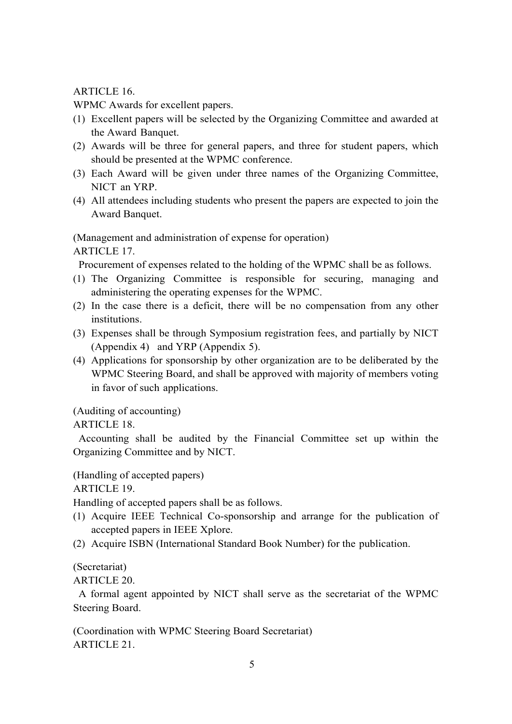ARTICLE 16.

WPMC Awards for excellent papers.

- (1) Excellent papers will be selected by the Organizing Committee and awarded at the Award Banquet.
- (2) Awards will be three for general papers, and three for student papers, which should be presented at the WPMC conference.
- (3) Each Award will be given under three names of the Organizing Committee, NICT an YRP.
- (4) All attendees including students who present the papers are expected to join the Award Banquet.

(Management and administration of expense for operation) ARTICLE 17.

Procurement of expenses related to the holding of the WPMC shall be as follows.

- (1) The Organizing Committee is responsible for securing, managing and administering the operating expenses for the WPMC.
- (2) In the case there is a deficit, there will be no compensation from any other institutions.
- (3) Expenses shall be through Symposium registration fees, and partially by NICT (Appendix 4) and YRP (Appendix 5).
- (4) Applications for sponsorship by other organization are to be deliberated by the WPMC Steering Board, and shall be approved with majority of members voting in favor of such applications.

(Auditing of accounting)

ARTICLE 18.

Accounting shall be audited by the Financial Committee set up within the Organizing Committee and by NICT.

(Handling of accepted papers)

ARTICLE 19.

Handling of accepted papers shall be as follows.

- (1) Acquire IEEE Technical Co-sponsorship and arrange for the publication of accepted papers in IEEE Xplore.
- (2) Acquire ISBN (International Standard Book Number) for the publication.

(Secretariat)

ARTICLE 20.

A formal agent appointed by NICT shall serve as the secretariat of the WPMC Steering Board.

(Coordination with WPMC Steering Board Secretariat) ARTICLE 21.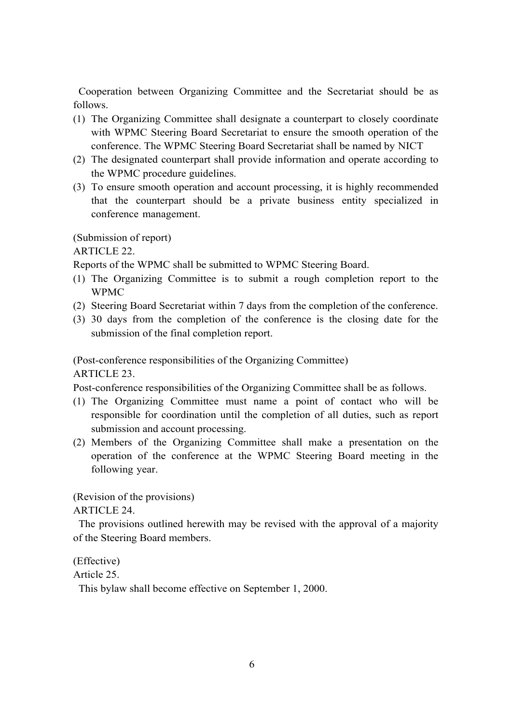Cooperation between Organizing Committee and the Secretariat should be as follows.

- (1) The Organizing Committee shall designate a counterpart to closely coordinate with WPMC Steering Board Secretariat to ensure the smooth operation of the conference. The WPMC Steering Board Secretariat shall be named by NICT
- (2) The designated counterpart shall provide information and operate according to the WPMC procedure guidelines.
- (3) To ensure smooth operation and account processing, it is highly recommended that the counterpart should be a private business entity specialized in conference management.

(Submission of report)

ARTICLE 22.

Reports of the WPMC shall be submitted to WPMC Steering Board.

- (1) The Organizing Committee is to submit a rough completion report to the WPMC
- (2) Steering Board Secretariat within 7 days from the completion of the conference.
- (3) 30 days from the completion of the conference is the closing date for the submission of the final completion report.

(Post-conference responsibilities of the Organizing Committee) ARTICLE 23.

Post-conference responsibilities of the Organizing Committee shall be as follows.

- (1) The Organizing Committee must name a point of contact who will be responsible for coordination until the completion of all duties, such as report submission and account processing.
- (2) Members of the Organizing Committee shall make a presentation on the operation of the conference at the WPMC Steering Board meeting in the following year.

(Revision of the provisions)

ARTICLE 24.

The provisions outlined herewith may be revised with the approval of a majority of the Steering Board members.

(Effective)

Article 25.

This bylaw shall become effective on September 1, 2000.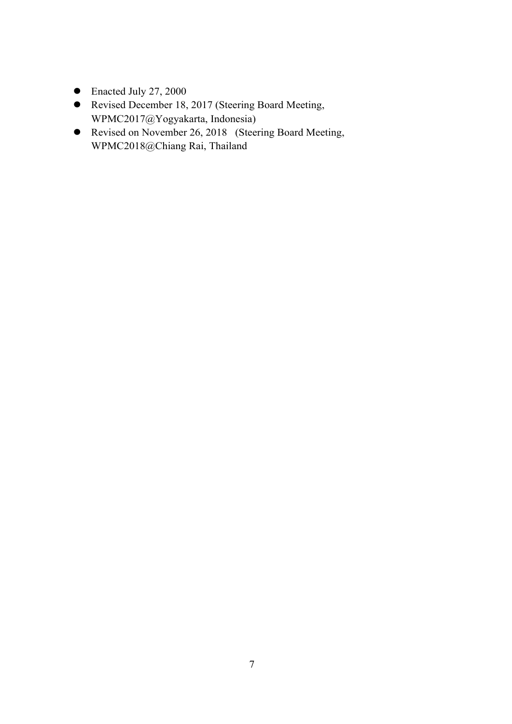- $\bullet$  Enacted July 27, 2000
- Revised December 18, 2017 (Steering Board Meeting, WPMC2017@Yogyakarta, Indonesia)
- Revised on November 26, 2018 (Steering Board Meeting, WPMC2018@Chiang Rai, Thailand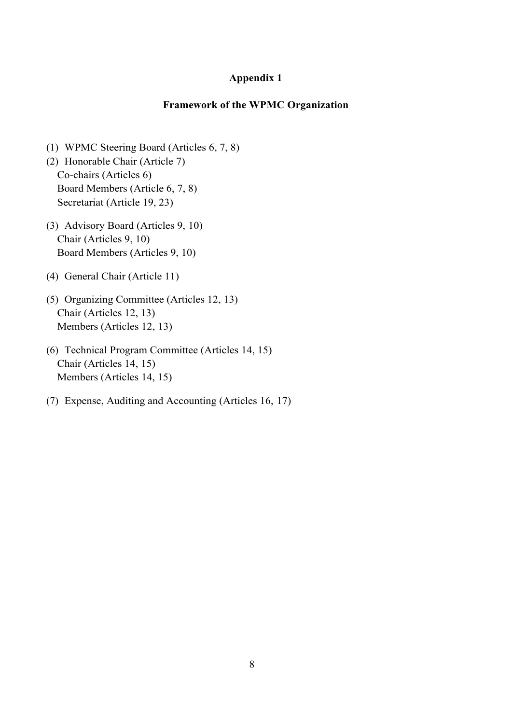#### **Appendix 1**

#### **Framework of the WPMC Organization**

- (1) WPMC Steering Board (Articles 6, 7, 8)
- (2) Honorable Chair (Article 7) Co-chairs (Articles 6) Board Members (Article 6, 7, 8) Secretariat (Article 19, 23)
- (3) Advisory Board (Articles 9, 10) Chair (Articles 9, 10) Board Members (Articles 9, 10)
- (4) General Chair (Article 11)
- (5) Organizing Committee (Articles 12, 13) Chair (Articles 12, 13) Members (Articles 12, 13)
- (6) Technical Program Committee (Articles 14, 15) Chair (Articles 14, 15) Members (Articles 14, 15)
- (7) Expense, Auditing and Accounting (Articles 16, 17)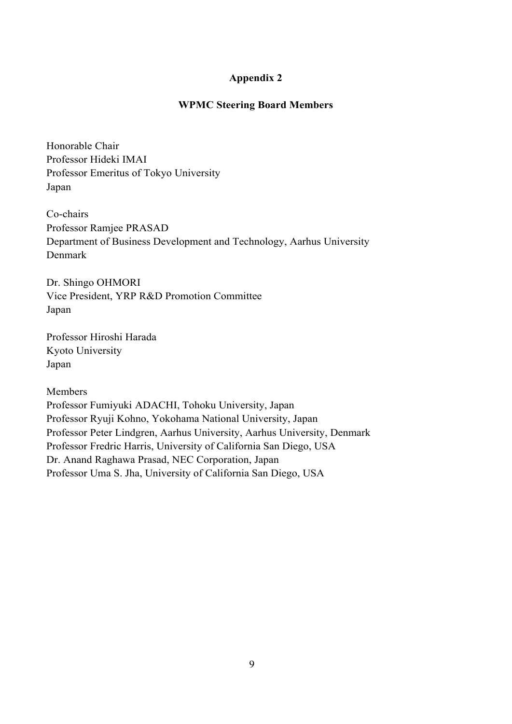#### **Appendix 2**

#### **WPMC Steering Board Members**

Honorable Chair Professor Hideki IMAI Professor Emeritus of Tokyo University Japan

Co-chairs Professor Ramjee PRASAD Department of Business Development and Technology, Aarhus University Denmark

Dr. Shingo OHMORI Vice President, YRP R&D Promotion Committee Japan

Professor Hiroshi Harada Kyoto University Japan

Members

Professor Fumiyuki ADACHI, Tohoku University, Japan Professor Ryuji Kohno, Yokohama National University, Japan Professor Peter Lindgren, Aarhus University, Aarhus University, Denmark Professor Fredric Harris, University of California San Diego, USA Dr. Anand Raghawa Prasad, NEC Corporation, Japan Professor Uma S. Jha, University of California San Diego, USA